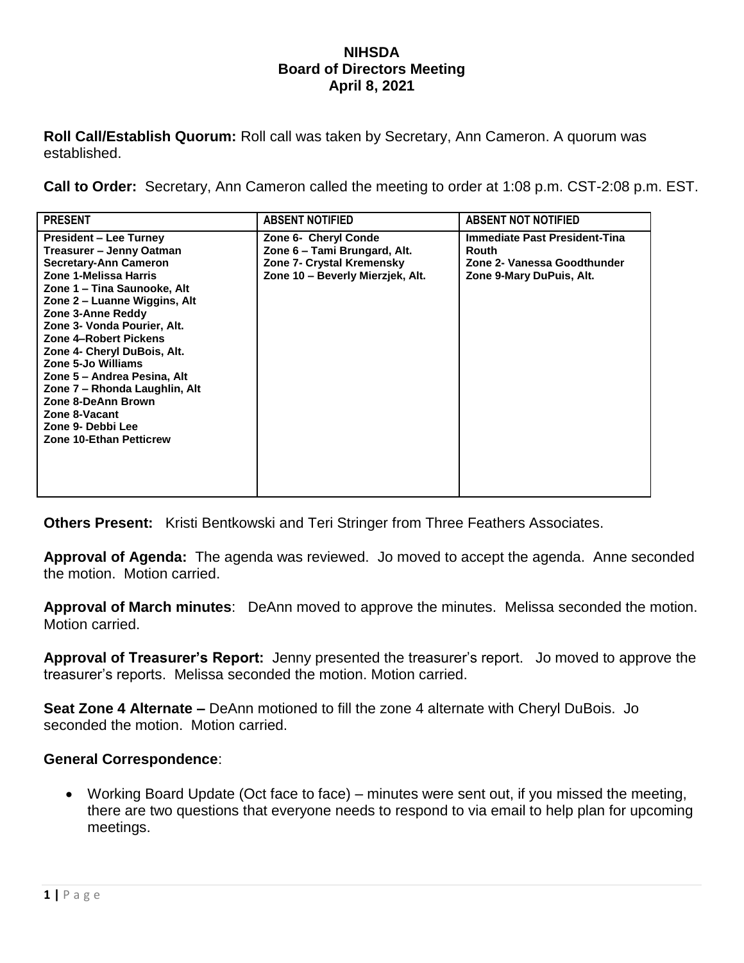## **NIHSDA Board of Directors Meeting April 8, 2021**

**Roll Call/Establish Quorum:** Roll call was taken by Secretary, Ann Cameron. A quorum was established.

**Call to Order:** Secretary, Ann Cameron called the meeting to order at 1:08 p.m. CST-2:08 p.m. EST.

| <b>PRESENT</b>                                                                                                                                                                                                                                                                                                                                                                                                                                                             | <b>ABSENT NOTIFIED</b>                                                                                                | <b>ABSENT NOT NOTIFIED</b>                                                                        |
|----------------------------------------------------------------------------------------------------------------------------------------------------------------------------------------------------------------------------------------------------------------------------------------------------------------------------------------------------------------------------------------------------------------------------------------------------------------------------|-----------------------------------------------------------------------------------------------------------------------|---------------------------------------------------------------------------------------------------|
| <b>President – Lee Turney</b><br>Treasurer – Jenny Oatman<br><b>Secretary-Ann Cameron</b><br>Zone 1-Melissa Harris<br>Zone 1 – Tina Saunooke, Alt<br>Zone 2 – Luanne Wiggins, Alt<br>Zone 3-Anne Reddy<br>Zone 3- Vonda Pourier, Alt.<br>Zone 4-Robert Pickens<br>Zone 4- Cheryl DuBois, Alt.<br>Zone 5-Jo Williams<br>Zone 5 – Andrea Pesina, Alt<br>Zone 7 - Rhonda Laughlin, Alt<br>Zone 8-DeAnn Brown<br>Zone 8-Vacant<br>Zone 9- Debbi Lee<br>Zone 10-Ethan Petticrew | Zone 6- Cheryl Conde<br>Zone 6 – Tami Brungard, Alt.<br>Zone 7- Crystal Kremensky<br>Zone 10 - Beverly Mierzjek, Alt. | Immediate Past President-Tina<br>Routh<br>Zone 2- Vanessa Goodthunder<br>Zone 9-Mary DuPuis, Alt. |

**Others Present:** Kristi Bentkowski and Teri Stringer from Three Feathers Associates.

**Approval of Agenda:** The agenda was reviewed. Jo moved to accept the agenda. Anne seconded the motion. Motion carried.

**Approval of March minutes**: DeAnn moved to approve the minutes. Melissa seconded the motion. Motion carried.

**Approval of Treasurer's Report:** Jenny presented the treasurer's report. Jo moved to approve the treasurer's reports. Melissa seconded the motion. Motion carried.

**Seat Zone 4 Alternate –** DeAnn motioned to fill the zone 4 alternate with Cheryl DuBois. Jo seconded the motion. Motion carried.

## **General Correspondence**:

 Working Board Update (Oct face to face) – minutes were sent out, if you missed the meeting, there are two questions that everyone needs to respond to via email to help plan for upcoming meetings.